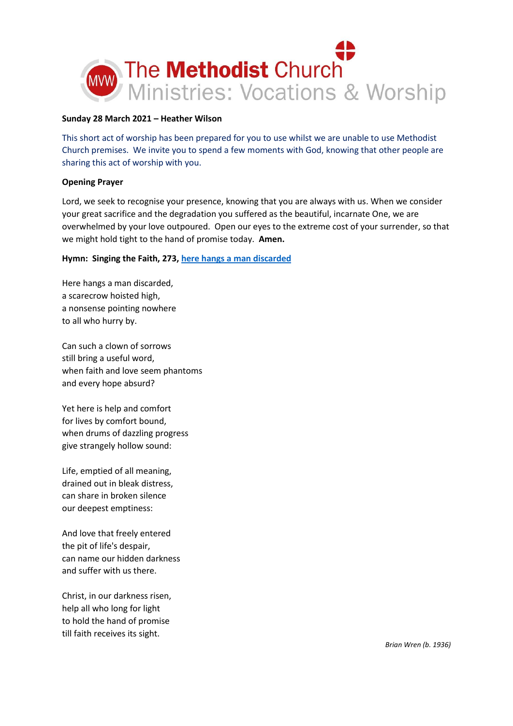

#### **Sunday 28 March 2021 – Heather Wilson**

This short act of worship has been prepared for you to use whilst we are unable to use Methodist Church premises. We invite you to spend a few moments with God, knowing that other people are sharing this act of worship with you.

# **Opening Prayer**

Lord, we seek to recognise your presence, knowing that you are always with us. When we consider your great sacrifice and the degradation you suffered as the beautiful, incarnate One, we are overwhelmed by your love outpoured. Open our eyes to the extreme cost of your surrender, so that we might hold tight to the hand of promise today. **Amen.** 

# **Hymn: Singing the Faith, 273, [here hangs a man discarded](https://www.youtube.com/watch?v=Oza5iOPtQkA)**

Here hangs a man discarded, a scarecrow hoisted high, a nonsense pointing nowhere to all who hurry by.

Can such a clown of sorrows still bring a useful word, when faith and love seem phantoms and every hope absurd?

Yet here is help and comfort for lives by comfort bound, when drums of dazzling progress give strangely hollow sound:

Life, emptied of all meaning, drained out in bleak distress, can share in broken silence our deepest emptiness:

And love that freely entered the pit of life's despair, can name our hidden darkness and suffer with us there.

Christ, in our darkness risen, help all who long for light to hold the hand of promise till faith receives its sight.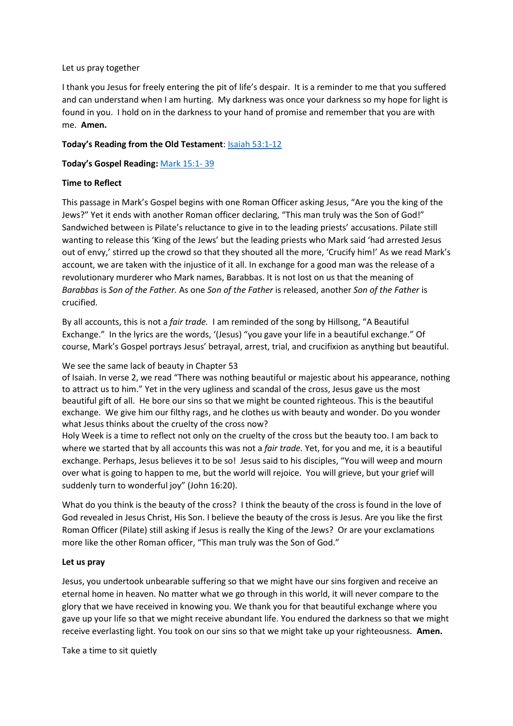#### Let us pray together

I thank you Jesus for freely entering the pit of life's despair. It is a reminder to me that you suffered and can understand when I am hurting. My darkness was once your darkness so my hope for light is found in you. I hold on in the darkness to your hand of promise and remember that you are with me. **Amen.**

# **Today's Reading from the Old Testament**: [Isaiah 53:1-12](https://www.biblegateway.com/passage/?search=Isaiah+53%3A1-12&version=NIV)

**Today's Gospel Reading:** [Mark 15:1-](https://www.biblegateway.com/passage/?search=Mark+15%3A1-+39&version=NIV) 39

# **Time to Reflect**

This passage in Mark's Gospel begins with one Roman Officer asking Jesus, "Are you the king of the Jews?" Yet it ends with another Roman officer declaring, "This man truly was the Son of God!" Sandwiched between is Pilate's reluctance to give in to the leading priests' accusations. Pilate still wanting to release this 'King of the Jews' but the leading priests who Mark said 'had arrested Jesus out of envy,' stirred up the crowd so that they shouted all the more, 'Crucify him!' As we read Mark's account, we are taken with the injustice of it all. In exchange for a good man was the release of a revolutionary murderer who Mark names, Barabbas. It is not lost on us that the meaning of *Barabbas* is *Son of the Father.* As one *Son of the Father* is released, another *Son of the Father* is crucified.

By all accounts, this is not a *fair trade.* I am reminded of the song by Hillsong, "A Beautiful Exchange." In the lyrics are the words, '(Jesus) "you gave your life in a beautiful exchange." Of course, Mark's Gospel portrays Jesus' betrayal, arrest, trial, and crucifixion as anything but beautiful.

## We see the same lack of beauty in Chapter 53

of Isaiah. In verse 2, we read "There was nothing beautiful or majestic about his appearance, nothing to attract us to him." Yet in the very ugliness and scandal of the cross, Jesus gave us the most beautiful gift of all. He bore our sins so that we might be counted righteous. This is the beautiful exchange. We give him our filthy rags, and he clothes us with beauty and wonder. Do you wonder what Jesus thinks about the cruelty of the cross now?

Holy Week is a time to reflect not only on the cruelty of the cross but the beauty too. I am back to where we started that by all accounts this was not a *fair trade.* Yet, for you and me, it is a beautiful exchange. Perhaps, Jesus believes it to be so! Jesus said to his disciples, "You will weep and mourn over what is going to happen to me, but the world will rejoice. You will grieve, but your grief will suddenly turn to wonderful joy" (John 16:20).

What do you think is the beauty of the cross? I think the beauty of the cross is found in the love of God revealed in Jesus Christ, His Son. I believe the beauty of the cross is Jesus. Are you like the first Roman Officer (Pilate) still asking if Jesus is really the King of the Jews? Or are your exclamations more like the other Roman officer, "This man truly was the Son of God."

#### **Let us pray**

Jesus, you undertook unbearable suffering so that we might have our sins forgiven and receive an eternal home in heaven. No matter what we go through in this world, it will never compare to the glory that we have received in knowing you. We thank you for that beautiful exchange where you gave up your life so that we might receive abundant life. You endured the darkness so that we might receive everlasting light. You took on our sins so that we might take up your righteousness. **Amen.**

Take a time to sit quietly